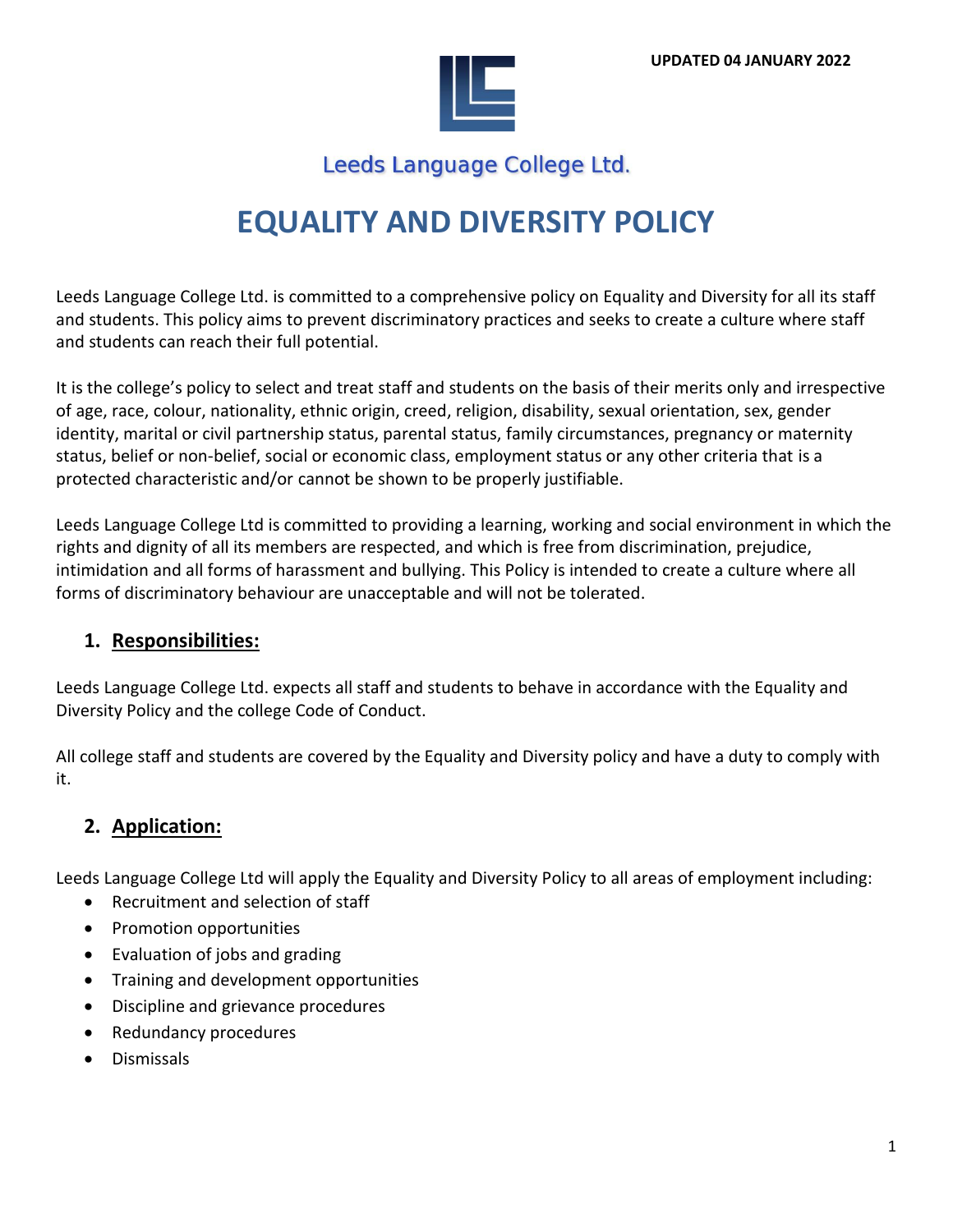

## Leeds Language College Ltd.

# **EQUALITY AND DIVERSITY POLICY**

Leeds Language College Ltd. is committed to a comprehensive policy on Equality and Diversity for all its staff and students. This policy aims to prevent discriminatory practices and seeks to create a culture where staff and students can reach their full potential.

It is the college's policy to select and treat staff and students on the basis of their merits only and irrespective of age, race, colour, nationality, ethnic origin, creed, religion, disability, sexual orientation, sex, gender identity, marital or civil partnership status, parental status, family circumstances, pregnancy or maternity status, belief or non-belief, social or economic class, employment status or any other criteria that is a protected characteristic and/or cannot be shown to be properly justifiable.

Leeds Language College Ltd is committed to providing a learning, working and social environment in which the rights and dignity of all its members are respected, and which is free from discrimination, prejudice, intimidation and all forms of harassment and bullying. This Policy is intended to create a culture where all forms of discriminatory behaviour are unacceptable and will not be tolerated.

### **1. Responsibilities:**

Leeds Language College Ltd. expects all staff and students to behave in accordance with the Equality and Diversity Policy and the college Code of Conduct.

All college staff and students are covered by the Equality and Diversity policy and have a duty to comply with it.

### **2. Application:**

Leeds Language College Ltd will apply the Equality and Diversity Policy to all areas of employment including:

- Recruitment and selection of staff
- Promotion opportunities
- Evaluation of jobs and grading
- Training and development opportunities
- Discipline and grievance procedures
- Redundancy procedures
- Dismissals